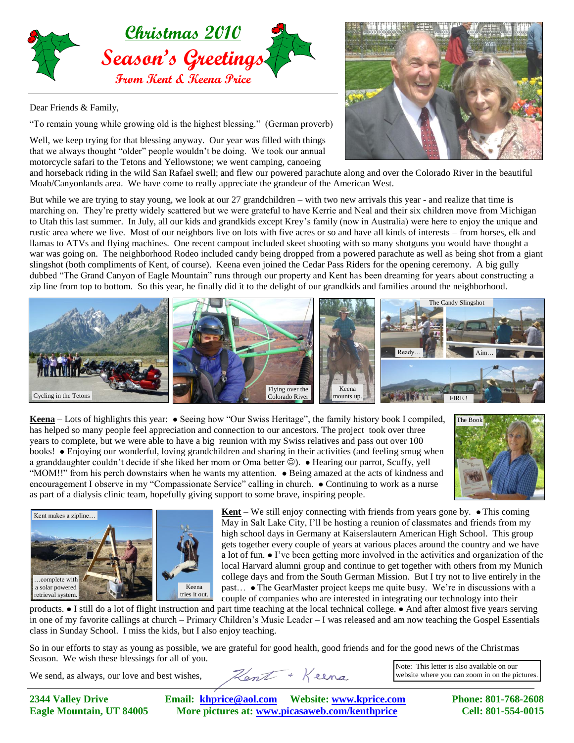

Dear Friends & Family,

"To remain young while growing old is the highest blessing." (German proverb)

Well, we keep trying for that blessing anyway. Our year was filled with things that we always thought "older" people wouldn't be doing. We took our annual motorcycle safari to the Tetons and Yellowstone; we went camping, canoeing



and horseback riding in the wild San Rafael swell; and flew our powered parachute along and over the Colorado River in the beautiful Moab/Canyonlands area. We have come to really appreciate the grandeur of the American West.

But while we are trying to stay young, we look at our 27 grandchildren – with two new arrivals this year - and realize that time is marching on. They're pretty widely scattered but we were grateful to have Kerrie and Neal and their six children move from Michigan to Utah this last summer. In July, all our kids and grandkids except Krey's family (now in Australia) were here to enjoy the unique and rustic area where we live. Most of our neighbors live on lots with five acres or so and have all kinds of interests – from horses, elk and llamas to ATVs and flying machines. One recent campout included skeet shooting with so many shotguns you would have thought a war was going on. The neighborhood Rodeo included candy being dropped from a powered parachute as well as being shot from a giant slingshot (both compliments of Kent, of course). Keena even joined the Cedar Pass Riders for the opening ceremony. A big gully dubbed "The Grand Canyon of Eagle Mountain" runs through our property and Kent has been dreaming for years about constructing a zip line from top to bottom. So this year, he finally did it to the delight of our grandkids and families around the neighborhood.



**Keena** – Lots of highlights this year: • Seeing how "Our Swiss Heritage", the family history book I compiled, has helped so many people feel appreciation and connection to our ancestors. The project took over three years to complete, but we were able to have a big reunion with my Swiss relatives and pass out over 100 books! Enjoying our wonderful, loving grandchildren and sharing in their activities (and feeling smug when a granddaughter couldn't decide if she liked her mom or Oma better ( $\circ$ ). • Hearing our parrot, Scuffy, yell "MOM!!" from his perch downstairs when he wants my attention. Being amazed at the acts of kindness and encouragement I observe in my "Compassionate Service" calling in church.  $\bullet$  Continuing to work as a nurse as part of a dialysis clinic team, hopefully giving support to some brave, inspiring people.





**Kent** – We still enjoy connecting with friends from years gone by.  $\bullet$  This coming May in Salt Lake City, I'll be hosting a reunion of classmates and friends from my high school days in Germany at Kaiserslautern American High School. This group gets together every couple of years at various places around the country and we have a lot of fun.  $\bullet$  I've been getting more involved in the activities and organization of the local Harvard alumni group and continue to get together with others from my Munich college days and from the South German Mission. But I try not to live entirely in the past... • The GearMaster project keeps me quite busy. We're in discussions with a couple of companies who are interested in integrating our technology into their

products. If still do a lot of flight instruction and part time teaching at the local technical college.  $\bullet$  And after almost five years serving in one of my favorite callings at church – Primary Children's Music Leader – I was released and am now teaching the Gospel Essentials class in Sunday School. I miss the kids, but I also enjoy teaching.

So in our efforts to stay as young as possible, we are grateful for good health, good friends and for the good news of the Christmas Season. We wish these blessings for all of you.

We send, as always, our love and best wishes,

**2344 Valley Drive Email: [khprice@aol.com](mailto:khprice@aol.com) Website[: www.kprice.com](http://www.kprice.com/) Phone: 801-768-2608 Eagle Mountain, UT 84005 More pictures at: www.picasaweb.com/kenthprice Cell: 801-554-0015**

Hent + Keena

Note: This letter is also available on our website where you can zoom in on the pictures.